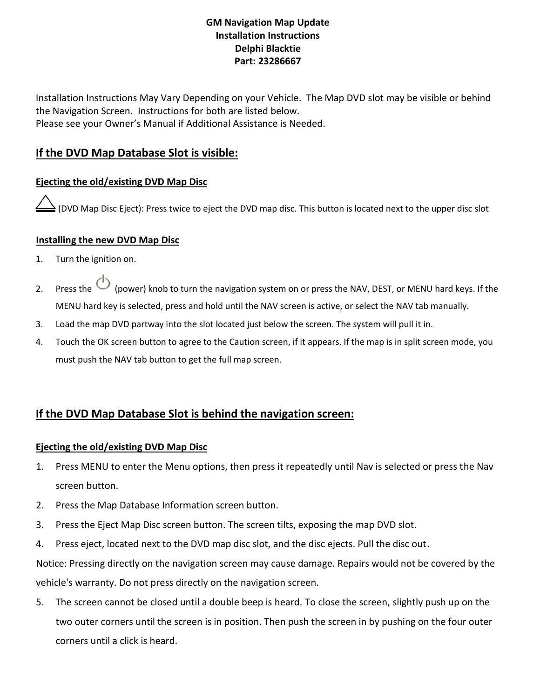### **GM Navigation Map Update Installation Instructions Delphi Blacktie Part: 23286667**

Installation Instructions May Vary Depending on your Vehicle. The Map DVD slot may be visible or behind the Navigation Screen. Instructions for both are listed below. Please see your Owner's Manual if Additional Assistance is Needed.

## **If the DVD Map Database Slot is visible:**

### **Ejecting the old/existing DVD Map Disc**

(DVD Map Disc Eject): Press twice to eject the DVD map disc. This button is located next to the upper disc slot

#### **Installing the new DVD Map Disc**

- 1. Turn the ignition on.
- 2. Press the  $\bigcirc$  (power) knob to turn the navigation system on or press the NAV, DEST, or MENU hard keys. If the MENU hard key is selected, press and hold until the NAV screen is active, or select the NAV tab manually.
- 3. Load the map DVD partway into the slot located just below the screen. The system will pull it in.
- 4. Touch the OK screen button to agree to the Caution screen, if it appears. If the map is in split screen mode, you must push the NAV tab button to get the full map screen.

# **If the DVD Map Database Slot is behind the navigation screen:**

#### **Ejecting the old/existing DVD Map Disc**

- 1. Press MENU to enter the Menu options, then press it repeatedly until Nav is selected or press the Nav screen button.
- 2. Press the Map Database Information screen button.
- 3. Press the Eject Map Disc screen button. The screen tilts, exposing the map DVD slot.
- 4. Press eject, located next to the DVD map disc slot, and the disc ejects. Pull the disc out.

Notice: Pressing directly on the navigation screen may cause damage. Repairs would not be covered by the vehicle's warranty. Do not press directly on the navigation screen.

5. The screen cannot be closed until a double beep is heard. To close the screen, slightly push up on the two outer corners until the screen is in position. Then push the screen in by pushing on the four outer corners until a click is heard.